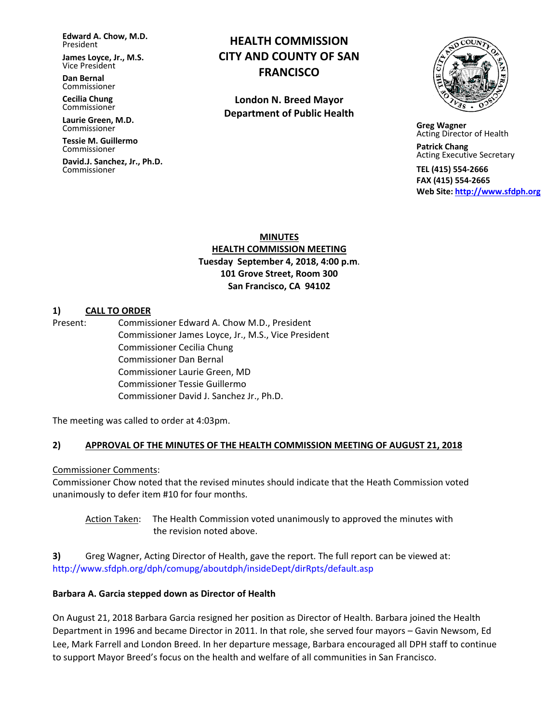**Edward A. Chow, M.D.** President

**James Loyce, Jr., M.S.** Vice President

**Dan Bernal** Commissioner

**Cecilia Chung**  Commissioner

**Laurie Green, M.D.** Commissioner

**Tessie M. Guillermo** Commissioner

**David.J. Sanchez, Jr., Ph.D.** Commissioner

# **HEALTH COMMISSION CITY AND COUNTY OF SAN FRANCISCO**

**London N. Breed Mayor Department of Public Health**



 **Greg Wagner**  Acting Director of Health

 **Patrick Chang**  Acting Executive Secretary

 **TEL (415) 554‐2666 FAX (415) 554‐2665 Web Site: http://www.sfdph.org**

**MINUTES HEALTH COMMISSION MEETING Tuesday September 4, 2018, 4:00 p.m**. **101 Grove Street, Room 300 San Francisco, CA 94102**

#### **1) CALL TO ORDER**

Present: Commissioner Edward A. Chow M.D., President Commissioner James Loyce, Jr., M.S., Vice President Commissioner Cecilia Chung Commissioner Dan Bernal Commissioner Laurie Green, MD Commissioner Tessie Guillermo

Commissioner David J. Sanchez Jr., Ph.D.

The meeting was called to order at 4:03pm.

#### **2) APPROVAL OF THE MINUTES OF THE HEALTH COMMISSION MEETING OF AUGUST 21, 2018**

#### Commissioner Comments:

Commissioner Chow noted that the revised minutes should indicate that the Heath Commission voted unanimously to defer item #10 for four months.

Action Taken: The Health Commission voted unanimously to approved the minutes with the revision noted above.

**3)** Greg Wagner, Acting Director of Health, gave the report. The full report can be viewed at: http://www.sfdph.org/dph/comupg/aboutdph/insideDept/dirRpts/default.asp

# **Barbara A. Garcia stepped down as Director of Health**

On August 21, 2018 Barbara Garcia resigned her position as Director of Health. Barbara joined the Health Department in 1996 and became Director in 2011. In that role, she served four mayors – Gavin Newsom, Ed Lee, Mark Farrell and London Breed. In her departure message, Barbara encouraged all DPH staff to continue to support Mayor Breed's focus on the health and welfare of all communities in San Francisco.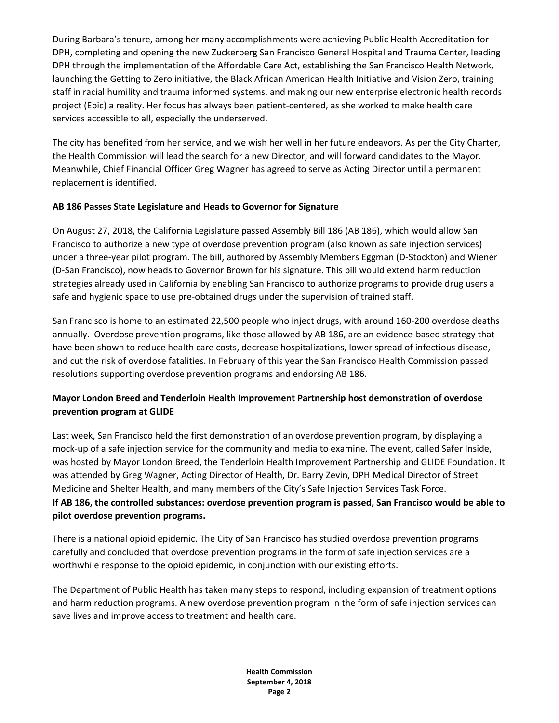During Barbara's tenure, among her many accomplishments were achieving Public Health Accreditation for DPH, completing and opening the new Zuckerberg San Francisco General Hospital and Trauma Center, leading DPH through the implementation of the Affordable Care Act, establishing the San Francisco Health Network, launching the Getting to Zero initiative, the Black African American Health Initiative and Vision Zero, training staff in racial humility and trauma informed systems, and making our new enterprise electronic health records project (Epic) a reality. Her focus has always been patient‐centered, as she worked to make health care services accessible to all, especially the underserved.

The city has benefited from her service, and we wish her well in her future endeavors. As per the City Charter, the Health Commission will lead the search for a new Director, and will forward candidates to the Mayor. Meanwhile, Chief Financial Officer Greg Wagner has agreed to serve as Acting Director until a permanent replacement is identified.

# **AB 186 Passes State Legislature and Heads to Governor for Signature**

On August 27, 2018, the California Legislature passed Assembly Bill 186 (AB 186), which would allow San Francisco to authorize a new type of overdose prevention program (also known as safe injection services) under a three‐year pilot program. The bill, authored by Assembly Members Eggman (D‐Stockton) and Wiener (D‐San Francisco), now heads to Governor Brown for his signature. This bill would extend harm reduction strategies already used in California by enabling San Francisco to authorize programs to provide drug users a safe and hygienic space to use pre‐obtained drugs under the supervision of trained staff.

San Francisco is home to an estimated 22,500 people who inject drugs, with around 160‐200 overdose deaths annually. Overdose prevention programs, like those allowed by AB 186, are an evidence‐based strategy that have been shown to reduce health care costs, decrease hospitalizations, lower spread of infectious disease, and cut the risk of overdose fatalities. In February of this year the San Francisco Health Commission passed resolutions supporting overdose prevention programs and endorsing AB 186.

# **Mayor London Breed and Tenderloin Health Improvement Partnership host demonstration of overdose prevention program at GLIDE**

Last week, San Francisco held the first demonstration of an overdose prevention program, by displaying a mock‐up of a safe injection service for the community and media to examine. The event, called Safer Inside, was hosted by Mayor London Breed, the Tenderloin Health Improvement Partnership and GLIDE Foundation. It was attended by Greg Wagner, Acting Director of Health, Dr. Barry Zevin, DPH Medical Director of Street Medicine and Shelter Health, and many members of the City's Safe Injection Services Task Force. If AB 186, the controlled substances: overdose prevention program is passed, San Francisco would be able to

# **pilot overdose prevention programs.**

There is a national opioid epidemic. The City of San Francisco has studied overdose prevention programs carefully and concluded that overdose prevention programs in the form of safe injection services are a worthwhile response to the opioid epidemic, in conjunction with our existing efforts.

The Department of Public Health has taken many steps to respond, including expansion of treatment options and harm reduction programs. A new overdose prevention program in the form of safe injection services can save lives and improve access to treatment and health care.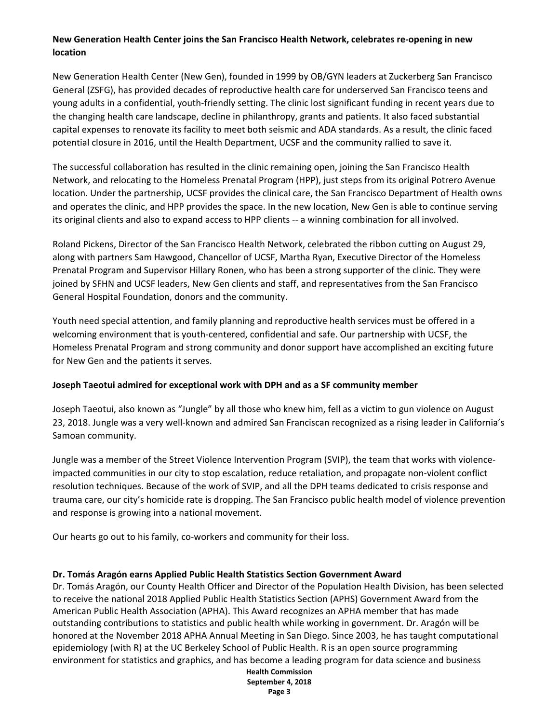# **New Generation Health Center joins the San Francisco Health Network, celebrates re‐opening in new location**

New Generation Health Center (New Gen), founded in 1999 by OB/GYN leaders at Zuckerberg San Francisco General (ZSFG), has provided decades of reproductive health care for underserved San Francisco teens and young adults in a confidential, youth‐friendly setting. The clinic lost significant funding in recent years due to the changing health care landscape, decline in philanthropy, grants and patients. It also faced substantial capital expenses to renovate its facility to meet both seismic and ADA standards. As a result, the clinic faced potential closure in 2016, until the Health Department, UCSF and the community rallied to save it.

The successful collaboration has resulted in the clinic remaining open, joining the San Francisco Health Network, and relocating to the Homeless Prenatal Program (HPP), just steps from its original Potrero Avenue location. Under the partnership, UCSF provides the clinical care, the San Francisco Department of Health owns and operates the clinic, and HPP provides the space. In the new location, New Gen is able to continue serving its original clients and also to expand access to HPP clients ‐‐ a winning combination for all involved.

Roland Pickens, Director of the San Francisco Health Network, celebrated the ribbon cutting on August 29, along with partners Sam Hawgood, Chancellor of UCSF, Martha Ryan, Executive Director of the Homeless Prenatal Program and Supervisor Hillary Ronen, who has been a strong supporter of the clinic. They were joined by SFHN and UCSF leaders, New Gen clients and staff, and representatives from the San Francisco General Hospital Foundation, donors and the community.

Youth need special attention, and family planning and reproductive health services must be offered in a welcoming environment that is youth‐centered, confidential and safe. Our partnership with UCSF, the Homeless Prenatal Program and strong community and donor support have accomplished an exciting future for New Gen and the patients it serves.

#### **Joseph Taeotui admired for exceptional work with DPH and as a SF community member**

Joseph Taeotui, also known as "Jungle" by all those who knew him, fell as a victim to gun violence on August 23, 2018. Jungle was a very well‐known and admired San Franciscan recognized as a rising leader in California's Samoan community.

Jungle was a member of the Street Violence Intervention Program (SVIP), the team that works with violence‐ impacted communities in our city to stop escalation, reduce retaliation, and propagate non‐violent conflict resolution techniques. Because of the work of SVIP, and all the DPH teams dedicated to crisis response and trauma care, our city's homicide rate is dropping. The San Francisco public health model of violence prevention and response is growing into a national movement.

Our hearts go out to his family, co-workers and community for their loss.

#### **Dr. Tomás Aragón earns Applied Public Health Statistics Section Government Award**

Dr. Tomás Aragón, our County Health Officer and Director of the Population Health Division, has been selected to receive the national 2018 Applied Public Health Statistics Section (APHS) Government Award from the American Public Health Association (APHA). This Award recognizes an APHA member that has made outstanding contributions to statistics and public health while working in government. Dr. Aragón will be honored at the November 2018 APHA Annual Meeting in San Diego. Since 2003, he has taught computational epidemiology (with R) at the UC Berkeley School of Public Health. R is an open source programming environment for statistics and graphics, and has become a leading program for data science and business

**Health Commission September 4, 2018 Page 3**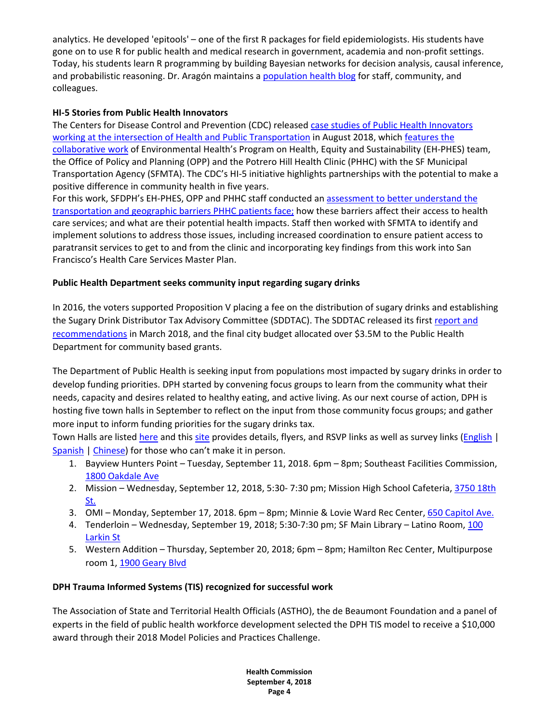analytics. He developed 'epitools' – one of the first R packages for field epidemiologists. His students have gone on to use R for public health and medical research in government, academia and non‐profit settings. Today, his students learn R programming by building Bayesian networks for decision analysis, causal inference, and probabilistic reasoning. Dr. Aragón maintains a population health blog for staff, community, and colleagues.

# **HI‐5 Stories from Public Health Innovators**

The Centers for Disease Control and Prevention (CDC) released case studies of Public Health Innovators working at the intersection of Health and Public Transportation in August 2018, which features the collaborative work of Environmental Health's Program on Health, Equity and Sustainability (EH‐PHES) team, the Office of Policy and Planning (OPP) and the Potrero Hill Health Clinic (PHHC) with the SF Municipal Transportation Agency (SFMTA). The CDC's HI‐5 initiative highlights partnerships with the potential to make a positive difference in community health in five years.

For this work, SFDPH's EH-PHES, OPP and PHHC staff conducted an assessment to better understand the transportation and geographic barriers PHHC patients face; how these barriers affect their access to health care services; and what are their potential health impacts. Staff then worked with SFMTA to identify and implement solutions to address those issues, including increased coordination to ensure patient access to paratransit services to get to and from the clinic and incorporating key findings from this work into San Francisco's Health Care Services Master Plan.

# **Public Health Department seeks community input regarding sugary drinks**

In 2016, the voters supported Proposition V placing a fee on the distribution of sugary drinks and establishing the Sugary Drink Distributor Tax Advisory Committee (SDDTAC). The SDDTAC released its first report and recommendations in March 2018, and the final city budget allocated over \$3.5M to the Public Health Department for community based grants.

The Department of Public Health is seeking input from populations most impacted by sugary drinks in order to develop funding priorities. DPH started by convening focus groups to learn from the community what their needs, capacity and desires related to healthy eating, and active living. As our next course of action, DPH is hosting five town halls in September to reflect on the input from those community focus groups; and gather more input to inform funding priorities for the sugary drinks tax.

Town Halls are listed here and this site provides details, flyers, and RSVP links as well as survey links (English | Spanish | Chinese) for those who can't make it in person.

- 1. Bayview Hunters Point Tuesday, September 11, 2018. 6pm 8pm; Southeast Facilities Commission, 1800 Oakdale Ave
- 2. Mission Wednesday, September 12, 2018, 5:30- 7:30 pm; Mission High School Cafeteria, 3750 18th St.
- 3. OMI Monday, September 17, 2018. 6pm 8pm; Minnie & Lovie Ward Rec Center, 650 Capitol Ave.
- 4. Tenderloin Wednesday, September 19, 2018; 5:30-7:30 pm; SF Main Library Latino Room, 100 Larkin St
- 5. Western Addition Thursday, September 20, 2018; 6pm 8pm; Hamilton Rec Center, Multipurpose room 1, 1900 Geary Blvd

# **DPH Trauma Informed Systems (TIS) recognized for successful work**

The Association of State and Territorial Health Officials (ASTHO), the de Beaumont Foundation and a panel of experts in the field of public health workforce development selected the DPH TIS model to receive a \$10,000 award through their 2018 Model Policies and Practices Challenge.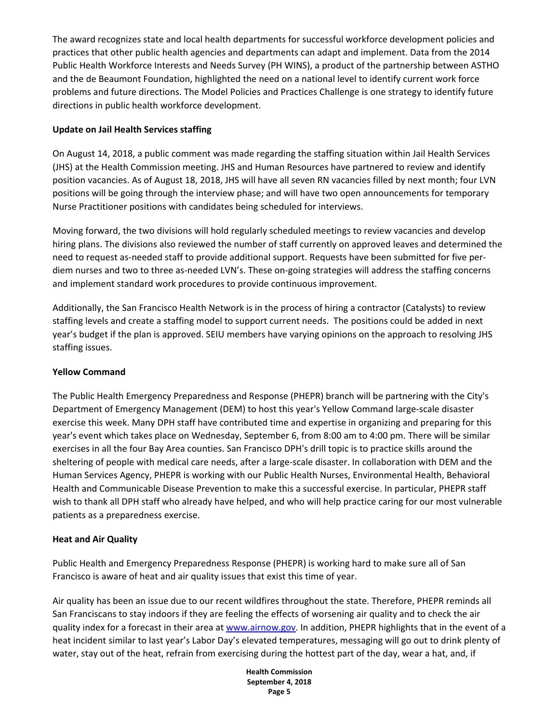The award recognizes state and local health departments for successful workforce development policies and practices that other public health agencies and departments can adapt and implement. Data from the 2014 Public Health Workforce Interests and Needs Survey (PH WINS), a product of the partnership between ASTHO and the de Beaumont Foundation, highlighted the need on a national level to identify current work force problems and future directions. The Model Policies and Practices Challenge is one strategy to identify future directions in public health workforce development.

# **Update on Jail Health Services staffing**

On August 14, 2018, a public comment was made regarding the staffing situation within Jail Health Services (JHS) at the Health Commission meeting. JHS and Human Resources have partnered to review and identify position vacancies. As of August 18, 2018, JHS will have all seven RN vacancies filled by next month; four LVN positions will be going through the interview phase; and will have two open announcements for temporary Nurse Practitioner positions with candidates being scheduled for interviews.

Moving forward, the two divisions will hold regularly scheduled meetings to review vacancies and develop hiring plans. The divisions also reviewed the number of staff currently on approved leaves and determined the need to request as‐needed staff to provide additional support. Requests have been submitted for five per‐ diem nurses and two to three as-needed LVN's. These on-going strategies will address the staffing concerns and implement standard work procedures to provide continuous improvement.

Additionally, the San Francisco Health Network is in the process of hiring a contractor (Catalysts) to review staffing levels and create a staffing model to support current needs. The positions could be added in next year's budget if the plan is approved. SEIU members have varying opinions on the approach to resolving JHS staffing issues.

# **Yellow Command**

The Public Health Emergency Preparedness and Response (PHEPR) branch will be partnering with the City's Department of Emergency Management (DEM) to host this year's Yellow Command large‐scale disaster exercise this week. Many DPH staff have contributed time and expertise in organizing and preparing for this year's event which takes place on Wednesday, September 6, from 8:00 am to 4:00 pm. There will be similar exercises in all the four Bay Area counties. San Francisco DPH's drill topic is to practice skills around the sheltering of people with medical care needs, after a large‐scale disaster. In collaboration with DEM and the Human Services Agency, PHEPR is working with our Public Health Nurses, Environmental Health, Behavioral Health and Communicable Disease Prevention to make this a successful exercise. In particular, PHEPR staff wish to thank all DPH staff who already have helped, and who will help practice caring for our most vulnerable patients as a preparedness exercise.

# **Heat and Air Quality**

Public Health and Emergency Preparedness Response (PHEPR) is working hard to make sure all of San Francisco is aware of heat and air quality issues that exist this time of year.

Air quality has been an issue due to our recent wildfires throughout the state. Therefore, PHEPR reminds all San Franciscans to stay indoors if they are feeling the effects of worsening air quality and to check the air quality index for a forecast in their area at www.airnow.gov. In addition, PHEPR highlights that in the event of a heat incident similar to last year's Labor Day's elevated temperatures, messaging will go out to drink plenty of water, stay out of the heat, refrain from exercising during the hottest part of the day, wear a hat, and, if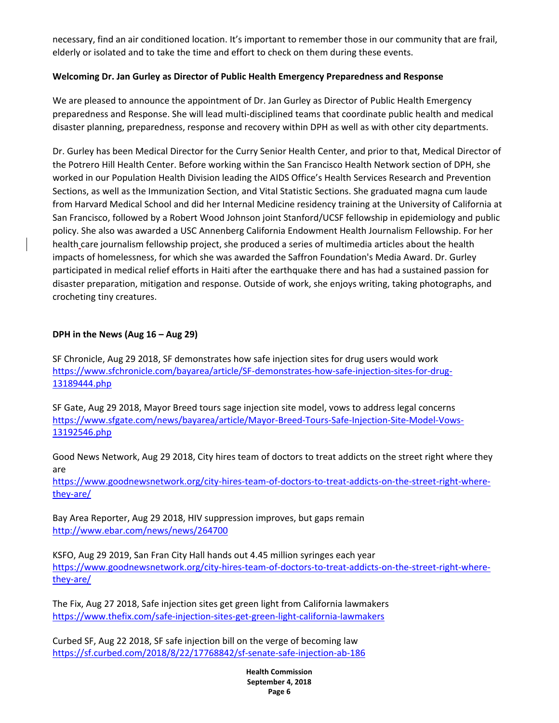necessary, find an air conditioned location. It's important to remember those in our community that are frail, elderly or isolated and to take the time and effort to check on them during these events.

#### **Welcoming Dr. Jan Gurley as Director of Public Health Emergency Preparedness and Response**

We are pleased to announce the appointment of Dr. Jan Gurley as Director of Public Health Emergency preparedness and Response. She will lead multi‐disciplined teams that coordinate public health and medical disaster planning, preparedness, response and recovery within DPH as well as with other city departments.

Dr. Gurley has been Medical Director for the Curry Senior Health Center, and prior to that, Medical Director of the Potrero Hill Health Center. Before working within the San Francisco Health Network section of DPH, she worked in our Population Health Division leading the AIDS Office's Health Services Research and Prevention Sections, as well as the Immunization Section, and Vital Statistic Sections. She graduated magna cum laude from Harvard Medical School and did her Internal Medicine residency training at the University of California at San Francisco, followed by a Robert Wood Johnson joint Stanford/UCSF fellowship in epidemiology and public policy. She also was awarded a USC Annenberg California Endowment Health Journalism Fellowship. For her health care journalism fellowship project, she produced a series of multimedia articles about the health impacts of homelessness, for which she was awarded the Saffron Foundation's Media Award. Dr. Gurley participated in medical relief efforts in Haiti after the earthquake there and has had a sustained passion for disaster preparation, mitigation and response. Outside of work, she enjoys writing, taking photographs, and crocheting tiny creatures.

#### **DPH in the News (Aug 16 – Aug 29)**

SF Chronicle, Aug 29 2018, SF demonstrates how safe injection sites for drug users would work https://www.sfchronicle.com/bayarea/article/SF-demonstrates-how-safe-injection-sites-for-drug-13189444.php

SF Gate, Aug 29 2018, Mayor Breed tours sage injection site model, vows to address legal concerns https://www.sfgate.com/news/bayarea/article/Mayor‐Breed‐Tours‐Safe‐Injection‐Site‐Model‐Vows‐ 13192546.php

Good News Network, Aug 29 2018, City hires team of doctors to treat addicts on the street right where they are

https://www.goodnewsnetwork.org/city-hires-team-of-doctors-to-treat-addicts-on-the-street-right-wherethey‐are/

Bay Area Reporter, Aug 29 2018, HIV suppression improves, but gaps remain http://www.ebar.com/news/news/264700

KSFO, Aug 29 2019, San Fran City Hall hands out 4.45 million syringes each year https://www.goodnewsnetwork.org/city-hires-team-of-doctors-to-treat-addicts-on-the-street-right-wherethey‐are/

The Fix, Aug 27 2018, Safe injection sites get green light from California lawmakers https://www.thefix.com/safe-injection-sites-get-green-light-california-lawmakers

Curbed SF, Aug 22 2018, SF safe injection bill on the verge of becoming law https://sf.curbed.com/2018/8/22/17768842/sf-senate-safe-injection-ab-186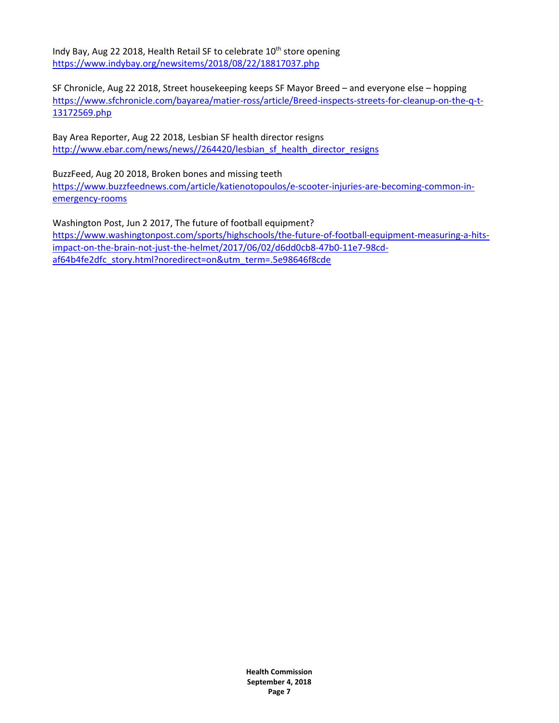Indy Bay, Aug 22 2018, Health Retail SF to celebrate 10<sup>th</sup> store opening https://www.indybay.org/newsitems/2018/08/22/18817037.php

SF Chronicle, Aug 22 2018, Street housekeeping keeps SF Mayor Breed – and everyone else – hopping https://www.sfchronicle.com/bayarea/matier-ross/article/Breed-inspects-streets-for-cleanup-on-the-q-t-13172569.php

Bay Area Reporter, Aug 22 2018, Lesbian SF health director resigns http://www.ebar.com/news/news//264420/lesbian\_sf\_health\_director\_resigns

BuzzFeed, Aug 20 2018, Broken bones and missing teeth https://www.buzzfeednews.com/article/katienotopoulos/e-scooter-injuries-are-becoming-common-inemergency‐rooms

Washington Post, Jun 2 2017, The future of football equipment? https://www.washingtonpost.com/sports/highschools/the-future-of-football-equipment-measuring-a-hitsimpact-on-the-brain-not-just-the-helmet/2017/06/02/d6dd0cb8-47b0-11e7-98cdaf64b4fe2dfc\_story.html?noredirect=on&utm\_term=.5e98646f8cde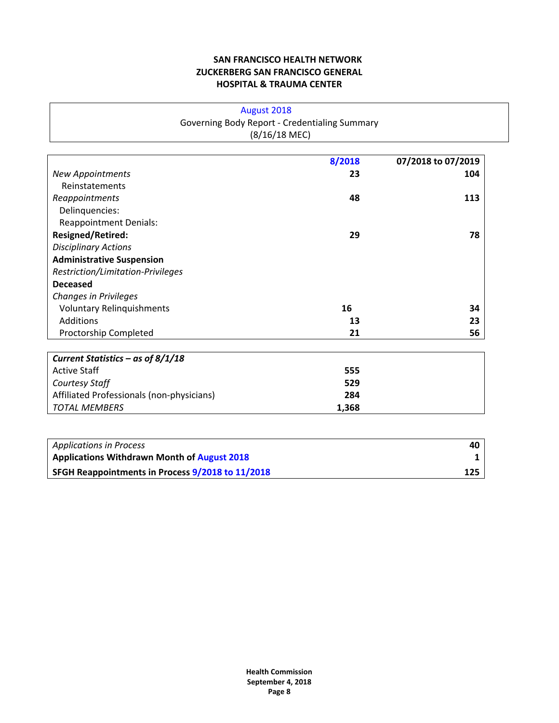### **SAN FRANCISCO HEALTH NETWORK ZUCKERBERG SAN FRANCISCO GENERAL HOSPITAL & TRAUMA CENTER**

| August 2018                                   |
|-----------------------------------------------|
| Governing Body Report - Credentialing Summary |
| $(8/16/18$ MEC)                               |

|                                     | 8/2018 | 07/2018 to 07/2019 |
|-------------------------------------|--------|--------------------|
| <b>New Appointments</b>             | 23     | 104                |
| Reinstatements                      |        |                    |
| Reappointments                      | 48     | 113                |
| Delinquencies:                      |        |                    |
| <b>Reappointment Denials:</b>       |        |                    |
| <b>Resigned/Retired:</b>            | 29     | 78                 |
| <b>Disciplinary Actions</b>         |        |                    |
| <b>Administrative Suspension</b>    |        |                    |
| Restriction/Limitation-Privileges   |        |                    |
| <b>Deceased</b>                     |        |                    |
| <b>Changes in Privileges</b>        |        |                    |
| <b>Voluntary Relinguishments</b>    | 16     | 34                 |
| Additions                           | 13     | 23                 |
| Proctorship Completed               | 21     | 56                 |
|                                     |        |                    |
| Current Statistics – as of $8/1/18$ |        |                    |

| $\frac{1}{2}$                             |       |  |
|-------------------------------------------|-------|--|
| <b>Active Staff</b>                       | 555   |  |
| Courtesy Staff                            | 529   |  |
| Affiliated Professionals (non-physicians) | 284   |  |
| TOTAL MEMBERS                             | 1.368 |  |

| <b>Applications in Process</b>                     |     |
|----------------------------------------------------|-----|
| <b>Applications Withdrawn Month of August 2018</b> |     |
| SFGH Reappointments in Process 9/2018 to 11/2018   | 125 |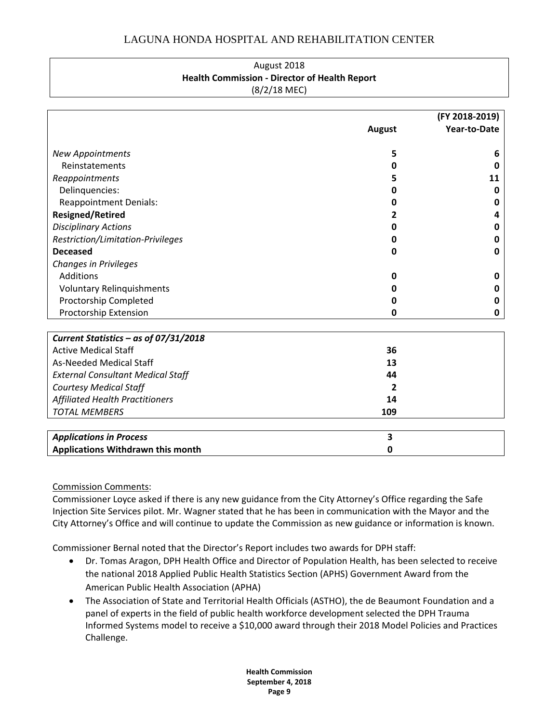# LAGUNA HONDA HOSPITAL AND REHABILITATION CENTER

| August 2018                                          |  |
|------------------------------------------------------|--|
| <b>Health Commission - Director of Health Report</b> |  |
| $(8/2/18$ MEC)                                       |  |
|                                                      |  |

|                                          |               | (FY 2018-2019) |
|------------------------------------------|---------------|----------------|
|                                          | <b>August</b> | Year-to-Date   |
| <b>New Appointments</b>                  | 5             | 6              |
| Reinstatements                           |               | o              |
| Reappointments                           |               | 11             |
| Delinquencies:                           |               | 0              |
| <b>Reappointment Denials:</b>            |               |                |
| <b>Resigned/Retired</b>                  |               | 4              |
| <b>Disciplinary Actions</b>              |               | o              |
| Restriction/Limitation-Privileges        |               | O              |
| <b>Deceased</b>                          | Ω             | 0              |
| <b>Changes in Privileges</b>             |               |                |
| Additions                                | ŋ             | 0              |
| <b>Voluntary Relinquishments</b>         |               |                |
| Proctorship Completed                    |               |                |
| Proctorship Extension                    | 0             | 0              |
|                                          |               |                |
| Current Statistics - as of 07/31/2018    |               |                |
| <b>Active Medical Staff</b>              | 36            |                |
| <b>As-Needed Medical Staff</b>           | 13            |                |
| <b>External Consultant Medical Staff</b> | 44            |                |

| <b>Courtesy Medical Staff</b>            |     |
|------------------------------------------|-----|
| Affiliated Health Practitioners          | 14  |
| TOTAL MEMBERS                            | 109 |
|                                          |     |
| <b>Applications in Process</b>           |     |
| <b>Applications Withdrawn this month</b> |     |

#### Commission Comments:

Commissioner Loyce asked if there is any new guidance from the City Attorney's Office regarding the Safe Injection Site Services pilot. Mr. Wagner stated that he has been in communication with the Mayor and the City Attorney's Office and will continue to update the Commission as new guidance or information is known.

Commissioner Bernal noted that the Director's Report includes two awards for DPH staff:

- Dr. Tomas Aragon, DPH Health Office and Director of Population Health, has been selected to receive the national 2018 Applied Public Health Statistics Section (APHS) Government Award from the American Public Health Association (APHA)
- The Association of State and Territorial Health Officials (ASTHO), the de Beaumont Foundation and a panel of experts in the field of public health workforce development selected the DPH Trauma Informed Systems model to receive a \$10,000 award through their 2018 Model Policies and Practices Challenge.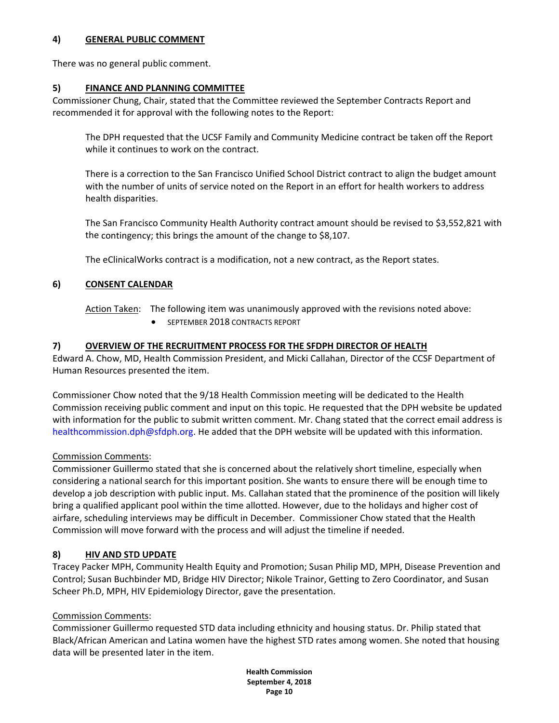#### **4) GENERAL PUBLIC COMMENT**

There was no general public comment.

#### **5) FINANCE AND PLANNING COMMITTEE**

Commissioner Chung, Chair, stated that the Committee reviewed the September Contracts Report and recommended it for approval with the following notes to the Report:

The DPH requested that the UCSF Family and Community Medicine contract be taken off the Report while it continues to work on the contract.

There is a correction to the San Francisco Unified School District contract to align the budget amount with the number of units of service noted on the Report in an effort for health workers to address health disparities.

The San Francisco Community Health Authority contract amount should be revised to \$3,552,821 with the contingency; this brings the amount of the change to \$8,107.

The eClinicalWorks contract is a modification, not a new contract, as the Report states.

# **6) CONSENT CALENDAR**

Action Taken: The following item was unanimously approved with the revisions noted above:

**• SEPTEMBER 2018 CONTRACTS REPORT** 

# **7) OVERVIEW OF THE RECRUITMENT PROCESS FOR THE SFDPH DIRECTOR OF HEALTH**

Edward A. Chow, MD, Health Commission President, and Micki Callahan, Director of the CCSF Department of Human Resources presented the item.

Commissioner Chow noted that the 9/18 Health Commission meeting will be dedicated to the Health Commission receiving public comment and input on this topic. He requested that the DPH website be updated with information for the public to submit written comment. Mr. Chang stated that the correct email address is healthcommission.dph@sfdph.org. He added that the DPH website will be updated with this information.

# Commission Comments:

Commissioner Guillermo stated that she is concerned about the relatively short timeline, especially when considering a national search for this important position. She wants to ensure there will be enough time to develop a job description with public input. Ms. Callahan stated that the prominence of the position will likely bring a qualified applicant pool within the time allotted. However, due to the holidays and higher cost of airfare, scheduling interviews may be difficult in December. Commissioner Chow stated that the Health Commission will move forward with the process and will adjust the timeline if needed.

# **8) HIV AND STD UPDATE**

Tracey Packer MPH, Community Health Equity and Promotion; Susan Philip MD, MPH, Disease Prevention and Control; Susan Buchbinder MD, Bridge HIV Director; Nikole Trainor, Getting to Zero Coordinator, and Susan Scheer Ph.D, MPH, HIV Epidemiology Director, gave the presentation.

# Commission Comments:

Commissioner Guillermo requested STD data including ethnicity and housing status. Dr. Philip stated that Black/African American and Latina women have the highest STD rates among women. She noted that housing data will be presented later in the item.

> **Health Commission September 4, 2018 Page 10**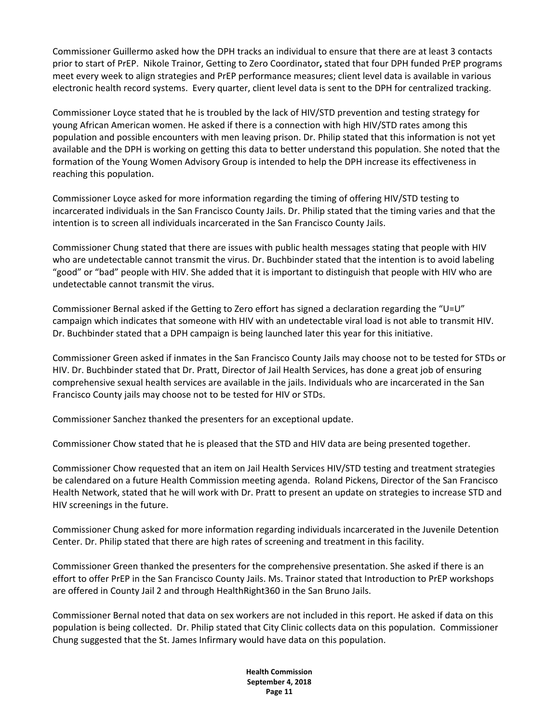Commissioner Guillermo asked how the DPH tracks an individual to ensure that there are at least 3 contacts prior to start of PrEP. Nikole Trainor, Getting to Zero Coordinator**,** stated that four DPH funded PrEP programs meet every week to align strategies and PrEP performance measures; client level data is available in various electronic health record systems. Every quarter, client level data is sent to the DPH for centralized tracking.

Commissioner Loyce stated that he is troubled by the lack of HIV/STD prevention and testing strategy for young African American women. He asked if there is a connection with high HIV/STD rates among this population and possible encounters with men leaving prison. Dr. Philip stated that this information is not yet available and the DPH is working on getting this data to better understand this population. She noted that the formation of the Young Women Advisory Group is intended to help the DPH increase its effectiveness in reaching this population.

Commissioner Loyce asked for more information regarding the timing of offering HIV/STD testing to incarcerated individuals in the San Francisco County Jails. Dr. Philip stated that the timing varies and that the intention is to screen all individuals incarcerated in the San Francisco County Jails.

Commissioner Chung stated that there are issues with public health messages stating that people with HIV who are undetectable cannot transmit the virus. Dr. Buchbinder stated that the intention is to avoid labeling "good" or "bad" people with HIV. She added that it is important to distinguish that people with HIV who are undetectable cannot transmit the virus.

Commissioner Bernal asked if the Getting to Zero effort has signed a declaration regarding the "U=U" campaign which indicates that someone with HIV with an undetectable viral load is not able to transmit HIV. Dr. Buchbinder stated that a DPH campaign is being launched later this year for this initiative.

Commissioner Green asked if inmates in the San Francisco County Jails may choose not to be tested for STDs or HIV. Dr. Buchbinder stated that Dr. Pratt, Director of Jail Health Services, has done a great job of ensuring comprehensive sexual health services are available in the jails. Individuals who are incarcerated in the San Francisco County jails may choose not to be tested for HIV or STDs.

Commissioner Sanchez thanked the presenters for an exceptional update.

Commissioner Chow stated that he is pleased that the STD and HIV data are being presented together.

Commissioner Chow requested that an item on Jail Health Services HIV/STD testing and treatment strategies be calendared on a future Health Commission meeting agenda. Roland Pickens, Director of the San Francisco Health Network, stated that he will work with Dr. Pratt to present an update on strategies to increase STD and HIV screenings in the future.

Commissioner Chung asked for more information regarding individuals incarcerated in the Juvenile Detention Center. Dr. Philip stated that there are high rates of screening and treatment in this facility.

Commissioner Green thanked the presenters for the comprehensive presentation. She asked if there is an effort to offer PrEP in the San Francisco County Jails. Ms. Trainor stated that Introduction to PrEP workshops are offered in County Jail 2 and through HealthRight360 in the San Bruno Jails.

Commissioner Bernal noted that data on sex workers are not included in this report. He asked if data on this population is being collected. Dr. Philip stated that City Clinic collects data on this population. Commissioner Chung suggested that the St. James Infirmary would have data on this population.